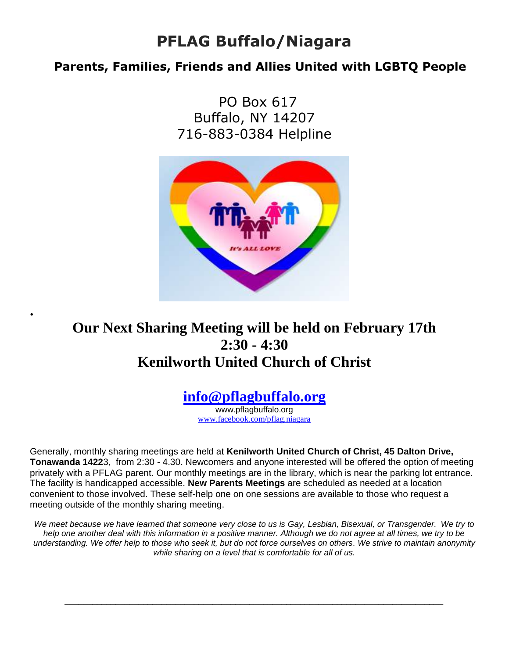## **PFLAG Buffalo/Niagara**

#### **Parents, Families, Friends and Allies United with LGBTQ People**

 PO Box 617 Buffalo, NY 14207 716-883-0384 Helpline



### **Our Next Sharing Meeting will be held on February 17th 2:30 - 4:30 Kenilworth United Church of Christ**

**.** 

#### **[info@pflagbuffalo.org](mailto:info@pflagbuffalo.org)**

www.pflagbuffalo.org [www.facebook.com/pflag.niagara](http://www.facebook.com/pflag.niagara)

Generally, monthly sharing meetings are held at **Kenilworth United Church of Christ, 45 Dalton Drive, Tonawanda 1422**3, from 2:30 - 4.30. Newcomers and anyone interested will be offered the option of meeting privately with a PFLAG parent. Our monthly meetings are in the library, which is near the parking lot entrance. The facility is handicapped accessible. **New Parents Meetings** are scheduled as needed at a location convenient to those involved. These self-help one on one sessions are available to those who request a meeting outside of the monthly sharing meeting.

*We meet because we have learned that someone very close to us is Gay, Lesbian, Bisexual, or Transgender. We try to help one another deal with this information in a positive manner. Although we do not agree at all times, we try to be understanding. We offer help to those who seek it, but do not force ourselves on others. We strive to maintain anonymity while sharing on a level that is comfortable for all of us.*

\_\_\_\_\_\_\_\_\_\_\_\_\_\_\_\_\_\_\_\_\_\_\_\_\_\_\_\_\_\_\_\_\_\_\_\_\_\_\_\_\_\_\_\_\_\_\_\_\_\_\_\_\_\_\_\_\_\_\_\_\_\_\_\_\_\_\_\_\_\_\_\_\_\_\_\_\_\_\_\_\_\_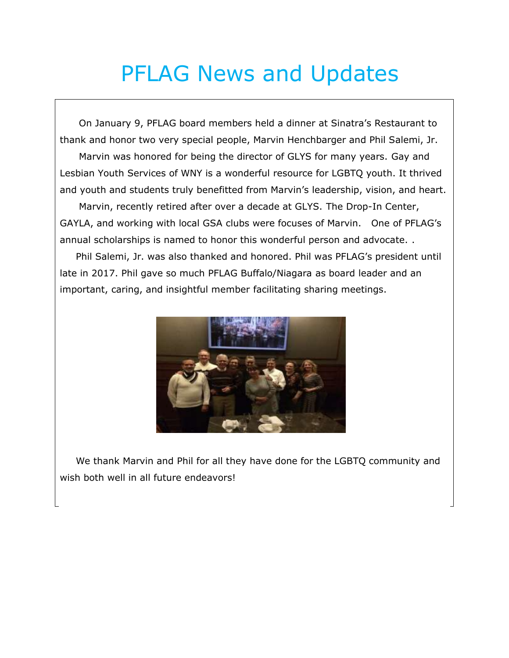# PFLAG News and Updates

 On January 9, PFLAG board members held a dinner at Sinatra's Restaurant to thank and honor two very special people, Marvin Henchbarger and Phil Salemi, Jr. Marvin was honored for being the director of GLYS for many years. Gay and Lesbian Youth Services of WNY is a wonderful resource for LGBTQ youth. It thrived and youth and students truly benefitted from Marvin's leadership, vision, and heart. Marvin, recently retired after over a decade at GLYS. The Drop-In Center, GAYLA, and working with local GSA clubs were focuses of Marvin. One of PFLAG's annual scholarships is named to honor this wonderful person and advocate. .

 Phil Salemi, Jr. was also thanked and honored. Phil was PFLAG's president until late in 2017. Phil gave so much PFLAG Buffalo/Niagara as board leader and an important, caring, and insightful member facilitating sharing meetings.



 We thank Marvin and Phil for all they have done for the LGBTQ community and wish both well in all future endeavors!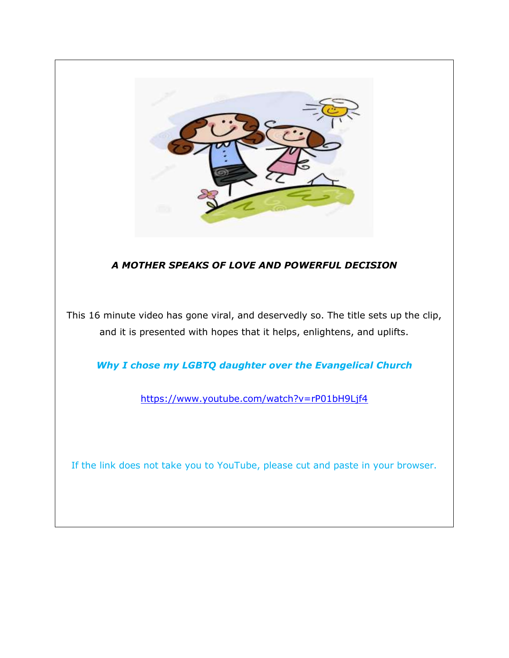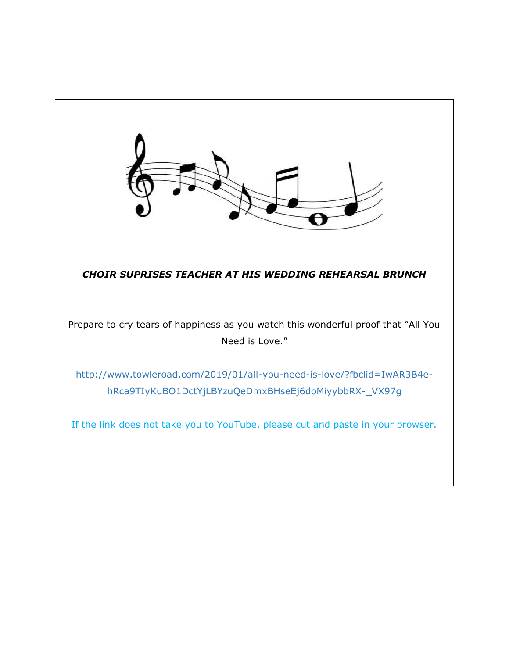